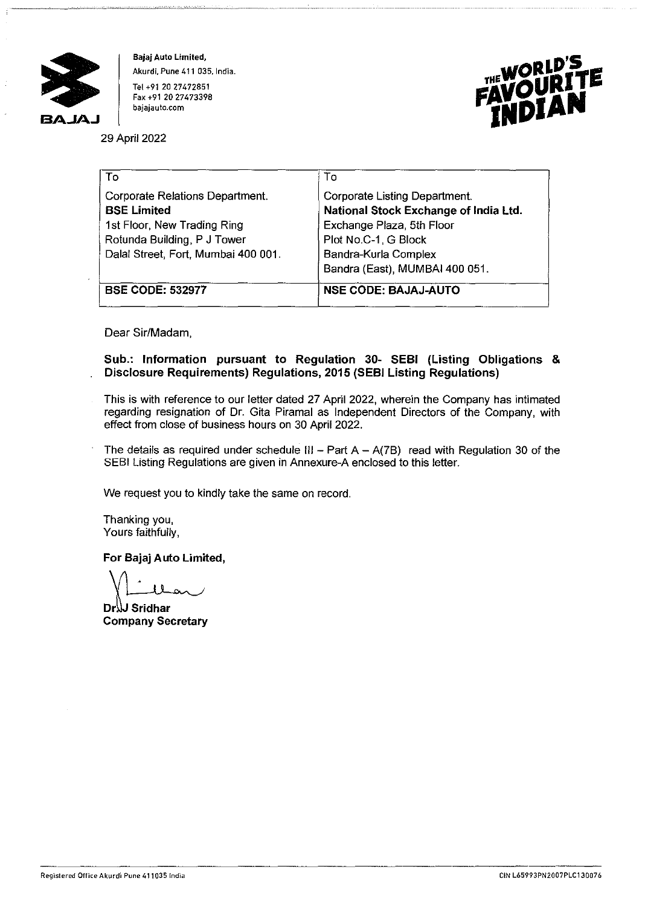

**Bajaj Auto Limited, Akurdi, Pune 411 035, India.**  Tel +91 20 27472851 **Fax +91 20 27473398 bajajauto.com** 



29 April 2022

| To                                                                 | To                                                                     |  |
|--------------------------------------------------------------------|------------------------------------------------------------------------|--|
| <b>Corporate Relations Department.</b><br><b>BSE Limited</b>       | Corporate Listing Department.<br>National Stock Exchange of India Ltd. |  |
| 1st Floor, New Trading Ring                                        | Exchange Plaza, 5th Floor                                              |  |
| Rotunda Building, P J Tower<br>Dalai Street, Fort, Mumbai 400 001. | Plot No.C-1, G Block<br>Bandra-Kurla Complex                           |  |
|                                                                    | Bandra (East), MUMBAI 400 051.                                         |  |
| <b>BSE CODE: 532977</b>                                            | <b>NSE CODE: BAJAJ-AUTO</b>                                            |  |

Dear Sir/Madam,

## **Sub.: Information pursuant to Regulation 30- SEBI (Listing Obligations** & **Disclosure Requirements) Regulations, 2015 (SEBI Listing Regulations)**

This is with reference to our letter dated 27 April 2022, wherein the Company has intimated regarding resignation of Dr. Gita Piramal as Independent Directors of the Company, with effect from close of business hours on 30 April 2022.

The details as required under schedule III - Part  $A - A(7B)$  read with Regulation 30 of the SEBI Listing Regulations are given in Annexure-A enclosed to this letter.

We request you to kindly take the same on record.

Thanking you, Yours faithfully,

**For Bajaj Auto Limited,<br>**  $\begin{bmatrix} \cdot & \cdot & \cdot \\ \cdot & \cdot & \cdot & \cdot \\ \text{Dr} \cdot \text{dr} & \text{Sridhar} \\ \text{Company Secretary} \end{bmatrix}$ 

**Company Secretary**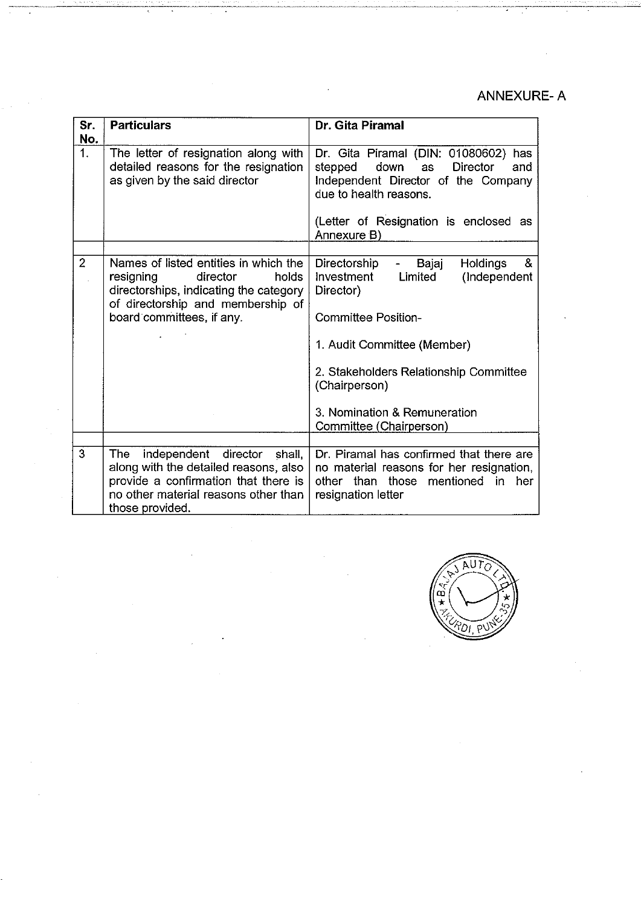## ANNEXURE-A

 $\sim 10^{-1}$ 

| Sr.<br>No.     | <b>Particulars</b>                                                                                                                                                                  | Dr. Gita Piramal                                                                                                                                                                                                                                                                       |
|----------------|-------------------------------------------------------------------------------------------------------------------------------------------------------------------------------------|----------------------------------------------------------------------------------------------------------------------------------------------------------------------------------------------------------------------------------------------------------------------------------------|
| 1.             | The letter of resignation along with<br>detailed reasons for the resignation<br>as given by the said director                                                                       | Dr. Gita Piramal (DIN: 01080602) has<br>down<br><b>Director</b><br>stepped<br><b>as</b><br>and<br>Independent Director of the Company<br>due to health reasons.<br>(Letter of Resignation is enclosed as<br>Annexure B)                                                                |
| $\overline{2}$ | Names of listed entities in which the<br>resigning<br>director<br>holds<br>directorships, indicating the category<br>of directorship and membership of<br>board committees, if any. | Directorship<br><b>Holdings</b><br>&<br>Bajaj<br>Investment<br>Limited<br>(Independent<br>Director)<br><b>Committee Position-</b><br>1. Audit Committee (Member)<br>2. Stakeholders Relationship Committee<br>(Chairperson)<br>3. Nomination & Remuneration<br>Committee (Chairperson) |
| 3              | independent director shall,<br>The:<br>along with the detailed reasons, also<br>provide a confirmation that there is<br>no other material reasons other than<br>those provided.     | Dr. Piramal has confirmed that there are<br>no material reasons for her resignation,<br>other than those mentioned in her<br>resignation letter                                                                                                                                        |

 $\bar{z}$ 

ł,

 $\hat{\mathcal{A}}$ 

 $\overline{a}$ 

 $\frac{1}{\mu_{\rm{eff}}(t)}\left(\frac{1}{\mu_{\rm{eff}}}\right)^{1/2}.$ 

 $\frac{1}{2}$ 

 $\bar{a}$